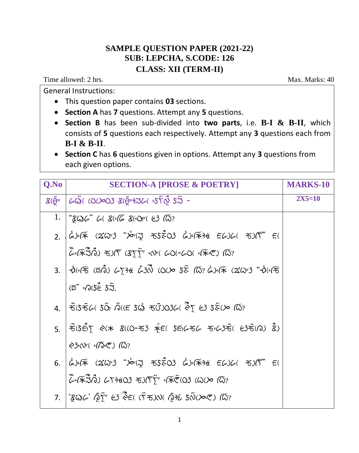## **SAMPLE QUESTION PAPER (2021-22) SUB: LEPCHA, S.CODE: 126 CLASS: XII (TERM-II)**

Time allowed: 2 hrs. Max. Marks: 40

General Instructions:

This question paper contains **03** sections.

**Section A** has **7** questions. Attempt any **5** questions.

- **Section B** has been sub-divided into **two parts**, i.e. **B-I & B-II**, which consists of **5** questions each respectively. Attempt any **3** questions each from **B-I & B-II**.
- **Section C** has **6** questions given in options. Attempt any **3** questions from each given options.

| Q.No | <b>SECTION-A [PROSE &amp; POETRY]</b>                                                                                                                                                                                                                                                                                                                                                                                                                           | <b>MARKS-10</b> |
|------|-----------------------------------------------------------------------------------------------------------------------------------------------------------------------------------------------------------------------------------------------------------------------------------------------------------------------------------------------------------------------------------------------------------------------------------------------------------------|-----------------|
|      | $R(\bar{\Theta}^{\nu} \mid \omega \ddot{\omega})$ (0(>03 $R(\bar{\Theta}^{\nu})$ 36 (45) $\sim$ 55 -                                                                                                                                                                                                                                                                                                                                                            | $2X5=10$        |
|      | 1.   " $Z\omega$ $\omega$ " $\omega$ $Z$ ( $\sqrt{\omega}$ $Z$ ( $\omega$ <sup>v</sup> $\approx$ $2\sqrt{\omega}$ ?                                                                                                                                                                                                                                                                                                                                             |                 |
|      |                                                                                                                                                                                                                                                                                                                                                                                                                                                                 |                 |
|      | $\widetilde{\mathcal{L}}$ ( $\widetilde{\mathcal{K}}$ $\widetilde{\mathcal{L}}$ ) $\widetilde{\mathcal{L}}$ ) $(\widetilde{\mathcal{K}})$ $\widetilde{\mathcal{K}}$ ( $\widetilde{\mathcal{K}}$ ) $\widetilde{\mathcal{K}}$ ( $\widetilde{\mathcal{K}}$ ) $\widetilde{\mathcal{K}}$ ( $\widetilde{\mathcal{K}}$ ) $\widetilde{\mathcal{K}}$ ) $\widetilde{\mathcal{K}}$ ) ( $\widetilde{\mathcal{K}}$ ) ( $\widetilde{\mathcal{K}}$ ) ( $\widetilde{\mathcal{K$ |                 |
|      | 3. $\phi(45.6)$ $\phi(50.6)$ $\phi(7)$ $\phi(7)$ $\phi(7)$ $\phi(8)$ $\phi(8)$ $\phi(8)$ $\phi(1)$ $\phi(1)$                                                                                                                                                                                                                                                                                                                                                    |                 |
|      | $(5^{"}$ 60( $5^{\circ}$ $5^{\circ}$ ).                                                                                                                                                                                                                                                                                                                                                                                                                         |                 |
|      | 4. THUS FAIRS TO THE SUST TO SOLE (2) $\frac{1}{2}$ $\approx$ $\frac{1}{2}$ $\approx$ $\frac{1}{2}$ $\approx$ $\frac{1}{2}$ $\approx$ $\frac{1}{2}$                                                                                                                                                                                                                                                                                                             |                 |
|      | $5.$ $\tilde{6}$ $\tilde{5}$ $\tilde{6}$ $\tilde{7}$ $\tilde{8}$ $\tilde{8}$ $\tilde{8}$ $\tilde{8}$ $\tilde{1}$ $\tilde{6}$ $\tilde{6}$ $\tilde{7}$ $\tilde{8}$ $\tilde{8}$ $\tilde{8}$ $\tilde{8}$ $\tilde{8}$ $\tilde{8}$ $\tilde{8}$ $\tilde{8}$ $\tilde{8}$ $\tilde{8}$ $\tilde{8}$ $\tilde{8}$                                                                                                                                                            |                 |
|      | 836V(600)                                                                                                                                                                                                                                                                                                                                                                                                                                                       |                 |
|      | $6.$ $\phi$ $\sqrt{*}$ $(2\omega^3$ $\omega^2\sqrt{2}$ $55\omega^2$ $\omega^3\sqrt{4}$ $\epsilon^2\omega\sqrt{4}$ $\epsilon^2\sqrt{5}$ $\epsilon^2$                                                                                                                                                                                                                                                                                                             |                 |
|      | $\tilde{\mathcal{L}}$ ( $\tilde{\mathcal{K}}$ 30) $\tilde{\mathcal{L}}$ ( $\tilde{\mathcal{K}}$ 803 $\tilde{\mathcal{K}}$ ) ( $\tilde{\mathcal{K}}$ ( $\tilde{\mathcal{K}}$ ( $\tilde{\mathcal{K}}$ ( $\tilde{\mathcal{K}}$ ) ( $\tilde{\mathcal{K}}$ ) ( $\tilde{\mathcal{K}}$ )                                                                                                                                                                               |                 |
|      | 7. $\mathcal{L}$ $\mathcal{L}$ $\mathcal{L}$ $\mathcal{L}$ $\mathcal{L}$ $\mathcal{L}$ $\mathcal{L}$ $\mathcal{L}$ $\mathcal{L}$ $\mathcal{L}$ $\mathcal{L}$ $\mathcal{L}$ $\mathcal{L}$ $\mathcal{L}$ $\mathcal{L}$ $\mathcal{L}$ $\mathcal{L}$ $\mathcal{L}$ $\mathcal{L}$ $\mathcal{L}$ $\mathcal{L}$ $\mathcal{L}$ $\mathcal{L}$ $\mathcal{L}$ $\$                                                                                                          |                 |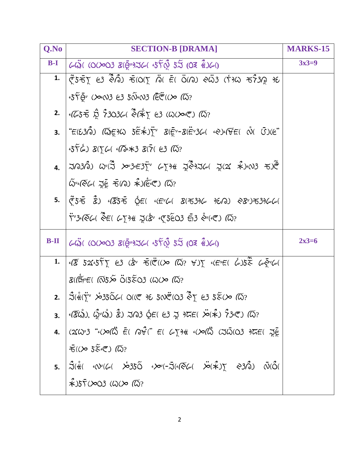| <b>SECTION-B [DRAMA]</b>                                                                                         | <b>MARKS-15</b>                                                                                                                                                                                                                                                                                                                                                                                                                                                                                                                                                                                                                                                                                                                                                                                                                                                                                                                                                                                                                                                                                                                                                                                                                                                                                                                                                                                                                                                                                                                                                                                                                                                                                                                                                                                                                                                                                                                                                                                                                                                                                                                                                                                                                                                                                                                                                    |
|------------------------------------------------------------------------------------------------------------------|--------------------------------------------------------------------------------------------------------------------------------------------------------------------------------------------------------------------------------------------------------------------------------------------------------------------------------------------------------------------------------------------------------------------------------------------------------------------------------------------------------------------------------------------------------------------------------------------------------------------------------------------------------------------------------------------------------------------------------------------------------------------------------------------------------------------------------------------------------------------------------------------------------------------------------------------------------------------------------------------------------------------------------------------------------------------------------------------------------------------------------------------------------------------------------------------------------------------------------------------------------------------------------------------------------------------------------------------------------------------------------------------------------------------------------------------------------------------------------------------------------------------------------------------------------------------------------------------------------------------------------------------------------------------------------------------------------------------------------------------------------------------------------------------------------------------------------------------------------------------------------------------------------------------------------------------------------------------------------------------------------------------------------------------------------------------------------------------------------------------------------------------------------------------------------------------------------------------------------------------------------------------------------------------------------------------------------------------------------------------|
| $643$ ( (0(>03 &(@+976( $55\%$ $55$ (03 $\%$ )6()                                                                | $3x3=9$                                                                                                                                                                                                                                                                                                                                                                                                                                                                                                                                                                                                                                                                                                                                                                                                                                                                                                                                                                                                                                                                                                                                                                                                                                                                                                                                                                                                                                                                                                                                                                                                                                                                                                                                                                                                                                                                                                                                                                                                                                                                                                                                                                                                                                                                                                                                                            |
|                                                                                                                  |                                                                                                                                                                                                                                                                                                                                                                                                                                                                                                                                                                                                                                                                                                                                                                                                                                                                                                                                                                                                                                                                                                                                                                                                                                                                                                                                                                                                                                                                                                                                                                                                                                                                                                                                                                                                                                                                                                                                                                                                                                                                                                                                                                                                                                                                                                                                                                    |
| $55\overline{Q}$ (Xx(V)3 E3 $5\widetilde{W}$ (V)3 (EE ((X) (W)?                                                  |                                                                                                                                                                                                                                                                                                                                                                                                                                                                                                                                                                                                                                                                                                                                                                                                                                                                                                                                                                                                                                                                                                                                                                                                                                                                                                                                                                                                                                                                                                                                                                                                                                                                                                                                                                                                                                                                                                                                                                                                                                                                                                                                                                                                                                                                                                                                                                    |
|                                                                                                                  |                                                                                                                                                                                                                                                                                                                                                                                                                                                                                                                                                                                                                                                                                                                                                                                                                                                                                                                                                                                                                                                                                                                                                                                                                                                                                                                                                                                                                                                                                                                                                                                                                                                                                                                                                                                                                                                                                                                                                                                                                                                                                                                                                                                                                                                                                                                                                                    |
|                                                                                                                  |                                                                                                                                                                                                                                                                                                                                                                                                                                                                                                                                                                                                                                                                                                                                                                                                                                                                                                                                                                                                                                                                                                                                                                                                                                                                                                                                                                                                                                                                                                                                                                                                                                                                                                                                                                                                                                                                                                                                                                                                                                                                                                                                                                                                                                                                                                                                                                    |
| $-556$ ) $81566$ $(1054387)$ $(7687)$                                                                            |                                                                                                                                                                                                                                                                                                                                                                                                                                                                                                                                                                                                                                                                                                                                                                                                                                                                                                                                                                                                                                                                                                                                                                                                                                                                                                                                                                                                                                                                                                                                                                                                                                                                                                                                                                                                                                                                                                                                                                                                                                                                                                                                                                                                                                                                                                                                                                    |
|                                                                                                                  |                                                                                                                                                                                                                                                                                                                                                                                                                                                                                                                                                                                                                                                                                                                                                                                                                                                                                                                                                                                                                                                                                                                                                                                                                                                                                                                                                                                                                                                                                                                                                                                                                                                                                                                                                                                                                                                                                                                                                                                                                                                                                                                                                                                                                                                                                                                                                                    |
| $\tilde{\omega}$ *(૨૯( సై $\tilde{\epsilon}$ ಕ(ந) $\hat{\star}$ )(ਇ $\tilde{\epsilon}$ (లె) ( $\tilde{\omega}$ ? |                                                                                                                                                                                                                                                                                                                                                                                                                                                                                                                                                                                                                                                                                                                                                                                                                                                                                                                                                                                                                                                                                                                                                                                                                                                                                                                                                                                                                                                                                                                                                                                                                                                                                                                                                                                                                                                                                                                                                                                                                                                                                                                                                                                                                                                                                                                                                                    |
|                                                                                                                  |                                                                                                                                                                                                                                                                                                                                                                                                                                                                                                                                                                                                                                                                                                                                                                                                                                                                                                                                                                                                                                                                                                                                                                                                                                                                                                                                                                                                                                                                                                                                                                                                                                                                                                                                                                                                                                                                                                                                                                                                                                                                                                                                                                                                                                                                                                                                                                    |
| 73. (54) 3 = ( $6503$ $53$ $840$ $103$                                                                           |                                                                                                                                                                                                                                                                                                                                                                                                                                                                                                                                                                                                                                                                                                                                                                                                                                                                                                                                                                                                                                                                                                                                                                                                                                                                                                                                                                                                                                                                                                                                                                                                                                                                                                                                                                                                                                                                                                                                                                                                                                                                                                                                                                                                                                                                                                                                                                    |
|                                                                                                                  | $2x3=6$                                                                                                                                                                                                                                                                                                                                                                                                                                                                                                                                                                                                                                                                                                                                                                                                                                                                                                                                                                                                                                                                                                                                                                                                                                                                                                                                                                                                                                                                                                                                                                                                                                                                                                                                                                                                                                                                                                                                                                                                                                                                                                                                                                                                                                                                                                                                                            |
|                                                                                                                  |                                                                                                                                                                                                                                                                                                                                                                                                                                                                                                                                                                                                                                                                                                                                                                                                                                                                                                                                                                                                                                                                                                                                                                                                                                                                                                                                                                                                                                                                                                                                                                                                                                                                                                                                                                                                                                                                                                                                                                                                                                                                                                                                                                                                                                                                                                                                                                    |
| 8(1 5 - 105 - 105 - 105 - 105 - 105 - 105 - 105 - 105 - 105 - 105 - 105 - 105 - 105 - 105 - 105 - 10             |                                                                                                                                                                                                                                                                                                                                                                                                                                                                                                                                                                                                                                                                                                                                                                                                                                                                                                                                                                                                                                                                                                                                                                                                                                                                                                                                                                                                                                                                                                                                                                                                                                                                                                                                                                                                                                                                                                                                                                                                                                                                                                                                                                                                                                                                                                                                                                    |
|                                                                                                                  |                                                                                                                                                                                                                                                                                                                                                                                                                                                                                                                                                                                                                                                                                                                                                                                                                                                                                                                                                                                                                                                                                                                                                                                                                                                                                                                                                                                                                                                                                                                                                                                                                                                                                                                                                                                                                                                                                                                                                                                                                                                                                                                                                                                                                                                                                                                                                                    |
|                                                                                                                  |                                                                                                                                                                                                                                                                                                                                                                                                                                                                                                                                                                                                                                                                                                                                                                                                                                                                                                                                                                                                                                                                                                                                                                                                                                                                                                                                                                                                                                                                                                                                                                                                                                                                                                                                                                                                                                                                                                                                                                                                                                                                                                                                                                                                                                                                                                                                                                    |
|                                                                                                                  |                                                                                                                                                                                                                                                                                                                                                                                                                                                                                                                                                                                                                                                                                                                                                                                                                                                                                                                                                                                                                                                                                                                                                                                                                                                                                                                                                                                                                                                                                                                                                                                                                                                                                                                                                                                                                                                                                                                                                                                                                                                                                                                                                                                                                                                                                                                                                                    |
| $\bar{x}$ ( $\gg$ 5 $\tilde{\lessdot}$ er) ( $\bar{\omega}$ ?                                                    |                                                                                                                                                                                                                                                                                                                                                                                                                                                                                                                                                                                                                                                                                                                                                                                                                                                                                                                                                                                                                                                                                                                                                                                                                                                                                                                                                                                                                                                                                                                                                                                                                                                                                                                                                                                                                                                                                                                                                                                                                                                                                                                                                                                                                                                                                                                                                                    |
|                                                                                                                  |                                                                                                                                                                                                                                                                                                                                                                                                                                                                                                                                                                                                                                                                                                                                                                                                                                                                                                                                                                                                                                                                                                                                                                                                                                                                                                                                                                                                                                                                                                                                                                                                                                                                                                                                                                                                                                                                                                                                                                                                                                                                                                                                                                                                                                                                                                                                                                    |
| $\hat{*}$ 35 $\bar{r}$ (2003 (W(20 (W?                                                                           |                                                                                                                                                                                                                                                                                                                                                                                                                                                                                                                                                                                                                                                                                                                                                                                                                                                                                                                                                                                                                                                                                                                                                                                                                                                                                                                                                                                                                                                                                                                                                                                                                                                                                                                                                                                                                                                                                                                                                                                                                                                                                                                                                                                                                                                                                                                                                                    |
|                                                                                                                  | $ \,\tilde{\mathfrak{C}}\,5\bar{\mathfrak{D}}\,\tilde{\chi}\,$ e3 $\tilde{\mathfrak{S}}\tilde{\mathfrak{O}}\,$ ) ಕ $ \,\mathfrak{O}\,(\,\tilde{\chi}\, \, \tilde{\mathfrak{O}}\,)\,$ is E( $\,\ddot{\mathfrak{O}}\,(\,\tilde{\mathfrak{O}}\,)\,$ e4) e3 is $\,$<br>2. (65 $\bar{x}$ $\dot{\tilde{R}}$ $\tilde{7}$ 3036( $\tilde{\diamond}$ (* $\dot{\tilde{R}}$ ) (23 (6)( $\gg$ (**) (6)?<br>3.  " $E(E3\hat{O})$ ( $\overline{O}$ $E\overline{O}$ ) $5\tilde{E}$ $\overline{\overline{O}}$ ) $\overline{\overline{C}}$ " $\overline{E}$ ( $\overline{\overline{E}}$ "- $\overline{E}$ ( $\overline{\overline{E}}$ ") $2\tilde{C}$ ( « $\overline{C}$ )( $\overline{C}$ $\overline{C}$ E( $\stackrel{\circ}{\sqrt{O}}$ ( $\overline{C}$ )( $e$ "<br>5. $\phi$ 55 $\vec{z}$ 3) $\phi$ 55 $\vec{z}$ $\phi$ $\epsilon$ ( $\phi$ ( $\epsilon$ $\psi$ ) 3(53) $\omega$ 9E/a) $\phi$ 8°) $\tau$ 3) $\omega$<br>$\omega$ 4) (0(203 8(8")J6(45) 55 (03 4)6()<br>1. $\sqrt{8}$ $52.557$ $83$ $(\overset{.}{x}$ $\overset{.}{\tau}$ $(\overset{.}{x}$ $(\times$ $\overset{.}{\omega})$ $\approx$ $\gamma$ $\gamma$ $(\overset{.}{x}$ $\overset{.}{\tau}$ $(\overset{.}{x})$ $\overset{.}{\tau}$ $\overset{.}{\omega}$ $\overset{.}{\tau}$ $\overset{.}{\omega}$ $\overset{.}{\tau}$ $(\overset{.}{x}$ $\overset{.}{\tau}$ $\overset{.}{\tau}$<br>$\frac{1}{2}$ 31 (x) $\frac{1}{2}$ 350 (x) $\frac{1}{2}$ (x) $\frac{1}{2}$ 650 (x) $\frac{1}{2}$ 63 5 $\frac{1}{2}$ (x) $\frac{1}{2}$<br>3. $ \cdot(\overline{\mathcal{R}}\mathcal{A})$ , $\mathcal{A}^{\prime\prime}\mathcal{A}$ ) $\mathcal{\hat{R}})$ $\lambda$ $\lambda$ 3 $\mathcal{\hat{Q}}$ E( e3 $\lambda$ $\lambda$ $\lambda$ $\lambda$ $\mathcal{A}$ ) $\mathcal{\hat{R}}$ 3 $\mathcal{A}$ ) $\mathcal{\hat{Q}}$ 3( $\lambda$ ) $\mathcal{\hat{R}}$<br>4. (263 "(20) = (3) = (3) = (3) = (4) = (4) = (3) = (3) = (3) = (3) = (4) = (3) = (3) = (3) = (3) = (3) = (3) = (3) = (3) = (3) = (3) = (3) = (3) = (3) = (3) = (3) = (3) = (3) = (3) = (3) = (3) = (3) = (3) = (3) = (3) = (<br>5. $3(\sqrt[4]{3})$ $\sqrt[4]{3}$ $\sqrt[4]{6}$ $\sqrt[4]{35}$ $\sqrt[4]{5}$ $\sqrt[4]{5}$ $\sqrt[4]{5}$ $\sqrt[4]{5}$ $\sqrt[4]{5}$ $\sqrt[3]{5}$ $\sqrt[3]{5}$ $\sqrt[3]{5}$ $\sqrt[3]{5}$ $\sqrt[3]{5}$ $\sqrt[3]{5}$ $\sqrt[3]{5}$ $\sqrt[3]{5}$ $\sqrt[3]{5}$ $\sqrt[3]{5}$ $\sqrt[3]{5}$ $\sqrt[3]{5}$ $\sqrt[3]{$ |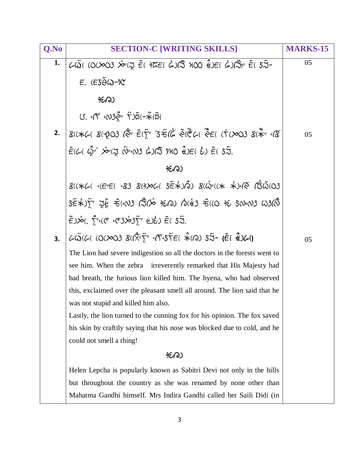| Q.No | <b>SECTION-C [WRITING SKILLS]</b>                                                                                                                                                                                                                                                                                                                      | <b>MARKS-15</b> |
|------|--------------------------------------------------------------------------------------------------------------------------------------------------------------------------------------------------------------------------------------------------------------------------------------------------------------------------------------------------------|-----------------|
| 1.   | $\omega$ Ŵ (0(203 $x^{\omega}$ ( z Ē ) TE ( á ) ( x 100 k )E ( á ) ( t ) $\frac{1}{(x^{\omega})^{2}}$ E ( $5\overline{3}$ -                                                                                                                                                                                                                            | 05              |
|      | $E.$ ( $E5\widetilde{\Theta}$ W)- $\chi$                                                                                                                                                                                                                                                                                                               |                 |
|      | 950)                                                                                                                                                                                                                                                                                                                                                   |                 |
|      | $U.$ $\overline{V}$ $\infty$ 3 $\tilde{S}$ <sup>,</sup> $\overline{V}$ ) $\overline{S}$ (- $\overline{\tilde{\star}}$ ( $\overline{S}$ (                                                                                                                                                                                                               |                 |
|      | 2. $\beta$ ((* 6 ( $\beta$ ( $\gamma$ 03 ( $\stackrel{*}{\diamond}$ $\bar{\epsilon}$ ( $\stackrel{*}{\gamma}$ 's $\stackrel{*}{\approx}$ ( $\stackrel{*}{\epsilon}$ ( $\stackrel{*}{\sim}$ ( $\stackrel{*}{\epsilon}$ ( $\stackrel{*}{\gamma}$ ( $\stackrel{*}{\alpha}$ ) $\stackrel{*}{\epsilon}$ ( $\stackrel{*}{\alpha}$ ) $\stackrel{*}{\epsilon}$ | 05              |
|      | $\bar{\varepsilon}$ (6( $\hat{\varphi}$ ' $\dot{\varphi}$ '( $\bar{\varphi}$ $\tilde{\varphi}$ '( $\bar{\varphi}$ $\tilde{\varphi}$ )( $\bar{\varphi}$ $\tilde{\varphi}$ )( $\tilde{\varphi}$ ) $\tilde{\varepsilon}$ ( $\tilde{\varphi}$ ) $\tilde{\varepsilon}$ ( $\tilde{\varphi}$ ) $\tilde{\varepsilon}$ ( $\tilde{\varphi}$ )                    |                 |
|      | 950)                                                                                                                                                                                                                                                                                                                                                   |                 |
|      | 8((*G) (E+E( 483 8(9) OG 5E *) 0) 8(W+ ((* *) (Q 1 03                                                                                                                                                                                                                                                                                                  |                 |
|      | 5 4 5 50 603 (3 6 960) 5 6 6 7 5 6 7 8 9 5 6 8 8 9 8 8 8 8 8 9 8 8 8 8 9 8 8 8 8 9 8 8 8 8 9 8 8 9 8 9 8 9 8 9 9 8 9 8 9 8 9 8 9 8 9 8 9 8 9 8 9 8 9 8 9 8 9 8 9 8 9 8 9 8 9 8 9 8 9 8 9 8 9 8 9 8 9 8 9 8 9 8 9 8 9 8 9 8 9 8                                                                                                                         |                 |
|      | $E^2$ $\hat{E}$ $\hat{E}$ $\hat{C}$ $\hat{C}$ $\hat{C}$ $\hat{C}$ $\hat{C}$ $\hat{C}$ $\hat{C}$ $\hat{C}$ $\hat{C}$ $\hat{C}$ $\hat{C}$ $\hat{C}$ $\hat{C}$ $\hat{C}$ $\hat{C}$ $\hat{C}$ $\hat{C}$ $\hat{C}$ $\hat{C}$ $\hat{C}$ $\hat{C}$ $\hat{C}$ $\hat{C}$ $\hat{C}$ $\hat{C}$                                                                    |                 |
| 3.   |                                                                                                                                                                                                                                                                                                                                                        | 05              |
|      | The Lion had severe indigestion so all the doctors in the forests went to                                                                                                                                                                                                                                                                              |                 |
|      | see him. When the zebra irreverently remarked that His Majesty had                                                                                                                                                                                                                                                                                     |                 |
|      | bad breath, the furious lion killed him. The hyena, who had observed                                                                                                                                                                                                                                                                                   |                 |
|      | this, exclaimed over the pleasant smell all around. The lion said that he                                                                                                                                                                                                                                                                              |                 |
|      | was not stupid and killed him also.                                                                                                                                                                                                                                                                                                                    |                 |
|      | Lastly, the lion turned to the cunning fox for his opinion. The fox saved                                                                                                                                                                                                                                                                              |                 |
|      | his skin by craftily saying that his nose was blocked due to cold, and he                                                                                                                                                                                                                                                                              |                 |
|      | could not smell a thing!                                                                                                                                                                                                                                                                                                                               |                 |
|      | 950)                                                                                                                                                                                                                                                                                                                                                   |                 |
|      | Helen Lepcha is popularly known as Sabitri Devi not only in the hills                                                                                                                                                                                                                                                                                  |                 |
|      | but throughout the country as she was renamed by none other than                                                                                                                                                                                                                                                                                       |                 |
|      | Mahatma Gandhi himself. Mrs Indira Gandhi called her Saili Didi (in                                                                                                                                                                                                                                                                                    |                 |